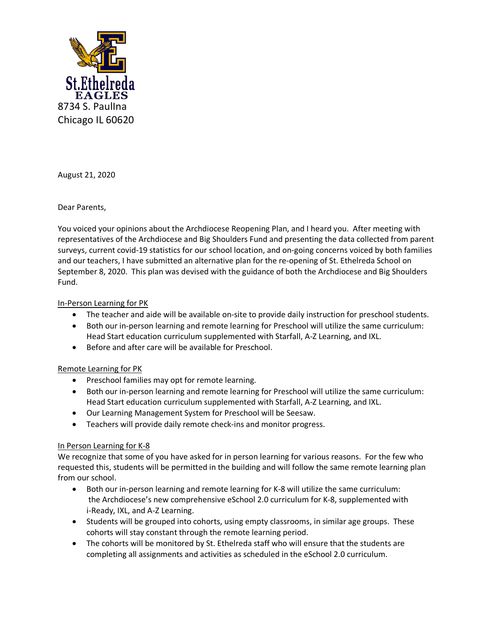

August 21, 2020

Dear Parents,

You voiced your opinions about the Archdiocese Reopening Plan, and I heard you. After meeting with representatives of the Archdiocese and Big Shoulders Fund and presenting the data collected from parent surveys, current covid-19 statistics for our school location, and on-going concerns voiced by both families and our teachers, I have submitted an alternative plan for the re-opening of St. Ethelreda School on September 8, 2020. This plan was devised with the guidance of both the Archdiocese and Big Shoulders Fund.

# In-Person Learning for PK

- The teacher and aide will be available on-site to provide daily instruction for preschool students.
- Both our in-person learning and remote learning for Preschool will utilize the same curriculum: Head Start education curriculum supplemented with Starfall, A-Z Learning, and IXL.
- Before and after care will be available for Preschool.

### Remote Learning for PK

- Preschool families may opt for remote learning.
- Both our in-person learning and remote learning for Preschool will utilize the same curriculum: Head Start education curriculum supplemented with Starfall, A-Z Learning, and IXL.
- Our Learning Management System for Preschool will be Seesaw.
- Teachers will provide daily remote check-ins and monitor progress.

### In Person Learning for K-8

We recognize that some of you have asked for in person learning for various reasons. For the few who requested this, students will be permitted in the building and will follow the same remote learning plan from our school.

- Both our in-person learning and remote learning for K-8 will utilize the same curriculum: the Archdiocese's new comprehensive eSchool 2.0 curriculum for K-8, supplemented with i-Ready, IXL, and A-Z Learning.
- Students will be grouped into cohorts, using empty classrooms, in similar age groups. These cohorts will stay constant through the remote learning period.
- The cohorts will be monitored by St. Ethelreda staff who will ensure that the students are completing all assignments and activities as scheduled in the eSchool 2.0 curriculum.